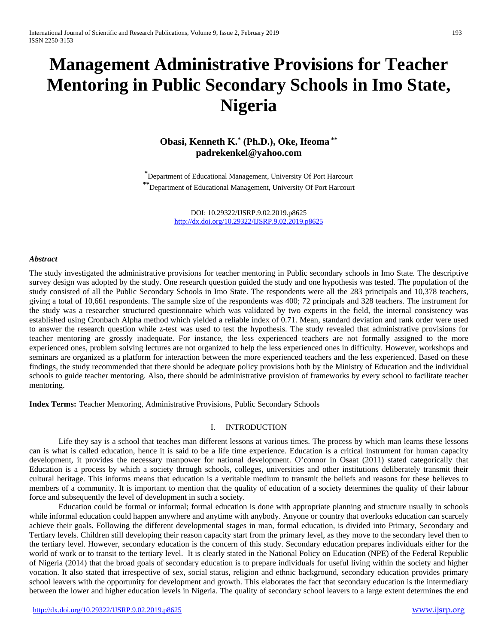# **Management Administrative Provisions for Teacher Mentoring in Public Secondary Schools in Imo State, Nigeria**

# **Obasi, Kenneth K.\* (Ph.D.), Oke, Ifeoma \*\* padrekenkel@yahoo.com**

**\***Department of Educational Management, University Of Port Harcourt **\*\***Department of Educational Management, University Of Port Harcourt

> DOI: 10.29322/IJSRP.9.02.2019.p8625 <http://dx.doi.org/10.29322/IJSRP.9.02.2019.p8625>

#### *Abstract*

The study investigated the administrative provisions for teacher mentoring in Public secondary schools in Imo State. The descriptive survey design was adopted by the study. One research question guided the study and one hypothesis was tested. The population of the study consisted of all the Public Secondary Schools in Imo State. The respondents were all the 283 principals and 10,378 teachers, giving a total of 10,661 respondents. The sample size of the respondents was 400; 72 principals and 328 teachers. The instrument for the study was a researcher structured questionnaire which was validated by two experts in the field, the internal consistency was established using Cronbach Alpha method which yielded a reliable index of 0.71. Mean, standard deviation and rank order were used to answer the research question while z-test was used to test the hypothesis. The study revealed that administrative provisions for teacher mentoring are grossly inadequate. For instance, the less experienced teachers are not formally assigned to the more experienced ones, problem solving lectures are not organized to help the less experienced ones in difficulty. However, workshops and seminars are organized as a platform for interaction between the more experienced teachers and the less experienced. Based on these findings, the study recommended that there should be adequate policy provisions both by the Ministry of Education and the individual schools to guide teacher mentoring. Also, there should be administrative provision of frameworks by every school to facilitate teacher mentoring.

**Index Terms:** Teacher Mentoring, Administrative Provisions, Public Secondary Schools

#### I. INTRODUCTION

Life they say is a school that teaches man different lessons at various times. The process by which man learns these lessons can is what is called education, hence it is said to be a life time experience. Education is a critical instrument for human capacity development, it provides the necessary manpower for national development. O'connor in Osaat (2011) stated categorically that Education is a process by which a society through schools, colleges, universities and other institutions deliberately transmit their cultural heritage. This informs means that education is a veritable medium to transmit the beliefs and reasons for these believes to members of a community. It is important to mention that the quality of education of a society determines the quality of their labour force and subsequently the level of development in such a society.

Education could be formal or informal; formal education is done with appropriate planning and structure usually in schools while informal education could happen anywhere and anytime with anybody. Anyone or country that overlooks education can scarcely achieve their goals. Following the different developmental stages in man, formal education, is divided into Primary, Secondary and Tertiary levels. Children still developing their reason capacity start from the primary level, as they move to the secondary level then to the tertiary level. However, secondary education is the concern of this study. Secondary education prepares individuals either for the world of work or to transit to the tertiary level. It is clearly stated in the National Policy on Education (NPE) of the Federal Republic of Nigeria (2014) that the broad goals of secondary education is to prepare individuals for useful living within the society and higher vocation. It also stated that irrespective of sex, social status, religion and ethnic background, secondary education provides primary school leavers with the opportunity for development and growth. This elaborates the fact that secondary education is the intermediary between the lower and higher education levels in Nigeria. The quality of secondary school leavers to a large extent determines the end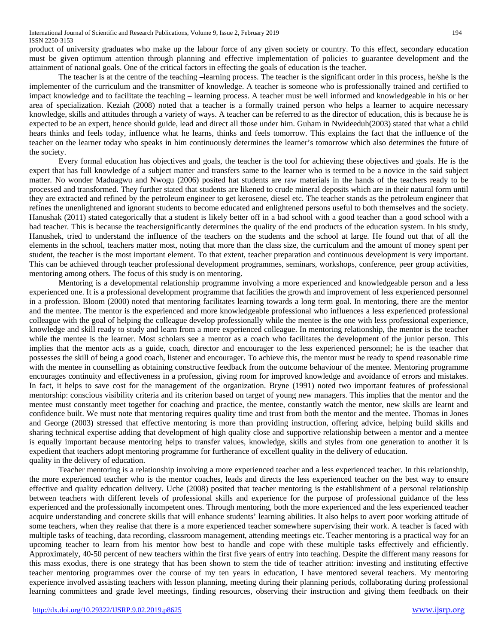product of university graduates who make up the labour force of any given society or country. To this effect, secondary education must be given optimum attention through planning and effective implementation of policies to guarantee development and the attainment of national goals. One of the critical factors in effecting the goals of education is the teacher.

The teacher is at the centre of the teaching –learning process. The teacher is the significant order in this process, he/she is the implementer of the curriculum and the transmitter of knowledge. A teacher is someone who is professionally trained and certified to impact knowledge and to facilitate the teaching – learning process. A teacher must be well informed and knowledgeable in his or her area of specialization. Keziah (2008) noted that a teacher is a formally trained person who helps a learner to acquire necessary knowledge, skills and attitudes through a variety of ways. A teacher can be referred to as the director of education, this is because he is expected to be an expert, hence should guide, lead and direct all those under him. Guham in Nwideeduh(2003) stated that what a child hears thinks and feels today, influence what he learns, thinks and feels tomorrow. This explains the fact that the influence of the teacher on the learner today who speaks in him continuously determines the learner's tomorrow which also determines the future of the society.

Every formal education has objectives and goals, the teacher is the tool for achieving these objectives and goals. He is the expert that has full knowledge of a subject matter and transfers same to the learner who is termed to be a novice in the said subject matter. No wonder Maduagwu and Nwogu (2006) posited hat students are raw materials in the hands of the teachers ready to be processed and transformed. They further stated that students are likened to crude mineral deposits which are in their natural form until they are extracted and refined by the petroleum engineer to get kerosene, diesel etc. The teacher stands as the petroleum engineer that refines the unenlightened and ignorant students to become educated and enlightened persons useful to both themselves and the society. Hanushak (2011) stated categorically that a student is likely better off in a bad school with a good teacher than a good school with a bad teacher. This is because the teachersignificantly determines the quality of the end products of the education system. In his study, Hanushek, tried to understand the influence of the teachers on the students and the school at large. He found out that of all the elements in the school, teachers matter most, noting that more than the class size, the curriculum and the amount of money spent per student, the teacher is the most important element. To that extent, teacher preparation and continuous development is very important. This can be achieved through teacher professional development programmes, seminars, workshops, conference, peer group activities, mentoring among others. The focus of this study is on mentoring.

Mentoring is a developmental relationship programme involving a more experienced and knowledgeable person and a less experienced one. It is a professional development programme that facilities the growth and improvement of less experienced personnel in a profession. Bloom (2000) noted that mentoring facilitates learning towards a long term goal. In mentoring, there are the mentor and the mentee. The mentor is the experienced and more knowledgeable professional who influences a less experienced professional colleague with the goal of helping the colleague develop professionally while the mentee is the one with less professional experience, knowledge and skill ready to study and learn from a more experienced colleague. In mentoring relationship, the mentor is the teacher while the mentee is the learner. Most scholars see a mentor as a coach who facilitates the development of the junior person. This implies that the mentor acts as a guide, coach, director and encourager to the less experienced personnel; he is the teacher that possesses the skill of being a good coach, listener and encourager. To achieve this, the mentor must be ready to spend reasonable time with the mentee in counselling as obtaining constructive feedback from the outcome behaviour of the mentee. Mentoring programme encourages continuity and effectiveness in a profession, giving room for improved knowledge and avoidance of errors and mistakes. In fact, it helps to save cost for the management of the organization. Bryne (1991) noted two important features of professional mentorship: conscious visibility criteria and its criterion based on target of young new managers. This implies that the mentor and the mentee must constantly meet together for coaching and practice, the mentee, constantly watch the mentor, new skills are learnt and confidence built. We must note that mentoring requires quality time and trust from both the mentor and the mentee. Thomas in Jones and George (2003) stressed that effective mentoring is more than providing instruction, offering advice, helping build skills and sharing technical expertise adding that development of high quality close and supportive relationship between a mentor and a mentee is equally important because mentoring helps to transfer values, knowledge, skills and styles from one generation to another it is expedient that teachers adopt mentoring programme for furtherance of excellent quality in the delivery of education. quality in the delivery of education.

Teacher mentoring is a relationship involving a more experienced teacher and a less experienced teacher. In this relationship, the more experienced teacher who is the mentor coaches, leads and directs the less experienced teacher on the best way to ensure effective and quality education delivery. Uche (2008) posited that teacher mentoring is the establishment of a personal relationship between teachers with different levels of professional skills and experience for the purpose of professional guidance of the less experienced and the professionally incompetent ones. Through mentoring, both the more experienced and the less experienced teacher acquire understanding and concrete skills that will enhance students' learning abilities. It also helps to avert poor working attitude of some teachers, when they realise that there is a more experienced teacher somewhere supervising their work. A teacher is faced with multiple tasks of teaching, data recording, classroom management, attending meetings etc. Teacher mentoring is a practical way for an upcoming teacher to learn from his mentor how best to handle and cope with these multiple tasks effectively and efficiently. Approximately, 40-50 percent of new teachers within the first five years of entry into teaching. Despite the different many reasons for this mass exodus, there is one strategy that has been shown to stem the tide of teacher attrition: investing and instituting effective teacher mentoring programmes over the course of my ten years in education, I have mentored several teachers. My mentoring experience involved assisting teachers with lesson planning, meeting during their planning periods, collaborating during professional learning committees and grade level meetings, finding resources, observing their instruction and giving them feedback on their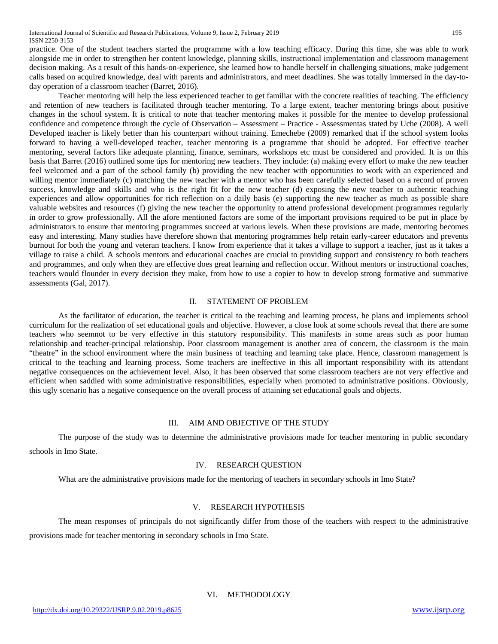practice. One of the student teachers started the programme with a low teaching efficacy. During this time, she was able to work alongside me in order to strengthen her content knowledge, planning skills, instructional implementation and classroom management decision making. As a result of this hands-on-experience, she learned how to handle herself in challenging situations, make judgement calls based on acquired knowledge, deal with parents and administrators, and meet deadlines. She was totally immersed in the day-today operation of a classroom teacher (Barret, 2016).

Teacher mentoring will help the less experienced teacher to get familiar with the concrete realities of teaching. The efficiency and retention of new teachers is facilitated through teacher mentoring. To a large extent, teacher mentoring brings about positive changes in the school system. It is critical to note that teacher mentoring makes it possible for the mentee to develop professional confidence and competence through the cycle of Observation – Assessment – Practice - Assessmentas stated by Uche (2008). A well Developed teacher is likely better than his counterpart without training. Emechebe (2009) remarked that if the school system looks forward to having a well-developed teacher, teacher mentoring is a programme that should be adopted. For effective teacher mentoring, several factors like adequate planning, finance, seminars, workshops etc must be considered and provided. It is on this basis that Barret (2016) outlined some tips for mentoring new teachers. They include: (a) making every effort to make the new teacher feel welcomed and a part of the school family (b) providing the new teacher with opportunities to work with an experienced and willing mentor immediately (c) matching the new teacher with a mentor who has been carefully selected based on a record of proven success, knowledge and skills and who is the right fit for the new teacher (d) exposing the new teacher to authentic teaching experiences and allow opportunities for rich reflection on a daily basis (e) supporting the new teacher as much as possible share valuable websites and resources (f) giving the new teacher the opportunity to attend professional development programmes regularly in order to grow professionally. All the afore mentioned factors are some of the important provisions required to be put in place by administrators to ensure that mentoring programmes succeed at various levels. When these provisions are made, mentoring becomes easy and interesting. Many studies have therefore shown that mentoring programmes help retain early-career educators and prevents burnout for both the young and veteran teachers. I know from experience that it takes a village to support a teacher, just as it takes a village to raise a child. A schools mentors and educational coaches are crucial to providing support and consistency to both teachers and programmes, and only when they are effective does great learning and reflection occur. Without mentors or instructional coaches, teachers would flounder in every decision they make, from how to use a copier to how to develop strong formative and summative assessments (Gal, 2017).

#### II. STATEMENT OF PROBLEM

As the facilitator of education, the teacher is critical to the teaching and learning process, he plans and implements school curriculum for the realization of set educational goals and objective. However, a close look at some schools reveal that there are some teachers who seemnot to be very effective in this statutory responsibility. This manifests in some areas such as poor human relationship and teacher-principal relationship. Poor classroom management is another area of concern, the classroom is the main "theatre" in the school environment where the main business of teaching and learning take place. Hence, classroom management is critical to the teaching and learning process. Some teachers are ineffective in this all important responsibility with its attendant negative consequences on the achievement level. Also, it has been observed that some classroom teachers are not very effective and efficient when saddled with some administrative responsibilities, especially when promoted to administrative positions. Obviously, this ugly scenario has a negative consequence on the overall process of attaining set educational goals and objects.

#### III. AIM AND OBJECTIVE OF THE STUDY

The purpose of the study was to determine the administrative provisions made for teacher mentoring in public secondary schools in Imo State.

# IV. RESEARCH QUESTION

What are the administrative provisions made for the mentoring of teachers in secondary schools in Imo State?

## V. RESEARCH HYPOTHESIS

The mean responses of principals do not significantly differ from those of the teachers with respect to the administrative provisions made for teacher mentoring in secondary schools in Imo State.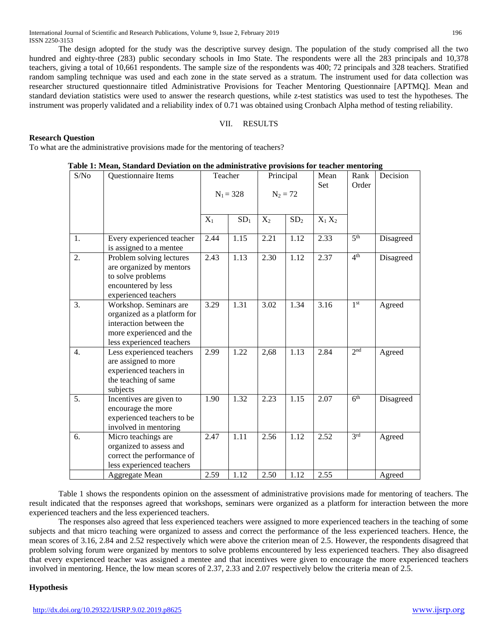The design adopted for the study was the descriptive survey design. The population of the study comprised all the two hundred and eighty-three (283) public secondary schools in Imo State. The respondents were all the 283 principals and 10,378 teachers, giving a total of 10,661 respondents. The sample size of the respondents was 400; 72 principals and 328 teachers. Stratified random sampling technique was used and each zone in the state served as a stratum. The instrument used for data collection was researcher structured questionnaire titled Administrative Provisions for Teacher Mentoring Questionnaire [APTMQ]. Mean and standard deviation statistics were used to answer the research questions, while z-test statistics was used to test the hypotheses. The instrument was properly validated and a reliability index of 0.71 was obtained using Cronbach Alpha method of testing reliability.

#### VII. RESULTS

# **Research Question**

To what are the administrative provisions made for the mentoring of teachers?

| Table 1: Mean, Standard Deviation on the administrative provisions for teacher mentoring |  |
|------------------------------------------------------------------------------------------|--|
|------------------------------------------------------------------------------------------|--|

| S/No             | Questionnaire Items                                                                                                                       | Teacher     |                 | Principal  |                 | Mean      | Rank            | Decision  |
|------------------|-------------------------------------------------------------------------------------------------------------------------------------------|-------------|-----------------|------------|-----------------|-----------|-----------------|-----------|
|                  |                                                                                                                                           | $N_1 = 328$ |                 | $N_2 = 72$ |                 | Set       | Order           |           |
|                  |                                                                                                                                           | $X_1$       | SD <sub>1</sub> | $X_2$      | SD <sub>2</sub> | $X_1 X_2$ |                 |           |
| 1.               | Every experienced teacher<br>is assigned to a mentee                                                                                      | 2.44        | 1.15            | 2.21       | 1.12            | 2.33      | 5 <sup>th</sup> | Disagreed |
| 2.               | Problem solving lectures<br>are organized by mentors<br>to solve problems<br>encountered by less<br>experienced teachers                  | 2.43        | 1.13            | 2.30       | 1.12            | 2.37      | 4 <sup>th</sup> | Disagreed |
| 3.               | Workshop. Seminars are<br>organized as a platform for<br>interaction between the<br>more experienced and the<br>less experienced teachers | 3.29        | 1.31            | 3.02       | 1.34            | 3.16      | 1 <sup>st</sup> | Agreed    |
| $\overline{4}$ . | Less experienced teachers<br>are assigned to more<br>experienced teachers in<br>the teaching of same<br>subjects                          | 2.99        | 1.22            | 2,68       | 1.13            | 2.84      | 2 <sup>nd</sup> | Agreed    |
| 5.               | Incentives are given to<br>encourage the more<br>experienced teachers to be<br>involved in mentoring                                      | 1.90        | 1.32            | 2.23       | 1.15            | 2.07      | 6 <sup>th</sup> | Disagreed |
| 6.               | Micro teachings are<br>organized to assess and<br>correct the performance of<br>less experienced teachers                                 | 2.47        | 1.11            | 2.56       | 1.12            | 2.52      | 3 <sup>rd</sup> | Agreed    |
|                  | Aggregate Mean                                                                                                                            | 2.59        | 1.12            | 2.50       | 1.12            | 2.55      |                 | Agreed    |

Table 1 shows the respondents opinion on the assessment of administrative provisions made for mentoring of teachers. The result indicated that the responses agreed that workshops, seminars were organized as a platform for interaction between the more experienced teachers and the less experienced teachers.

The responses also agreed that less experienced teachers were assigned to more experienced teachers in the teaching of some subjects and that micro teaching were organized to assess and correct the performance of the less experienced teachers. Hence, the mean scores of 3.16, 2.84 and 2.52 respectively which were above the criterion mean of 2.5. However, the respondents disagreed that problem solving forum were organized by mentors to solve problems encountered by less experienced teachers. They also disagreed that every experienced teacher was assigned a mentee and that incentives were given to encourage the more experienced teachers involved in mentoring. Hence, the low mean scores of 2.37, 2.33 and 2.07 respectively below the criteria mean of 2.5.

#### **Hypothesis**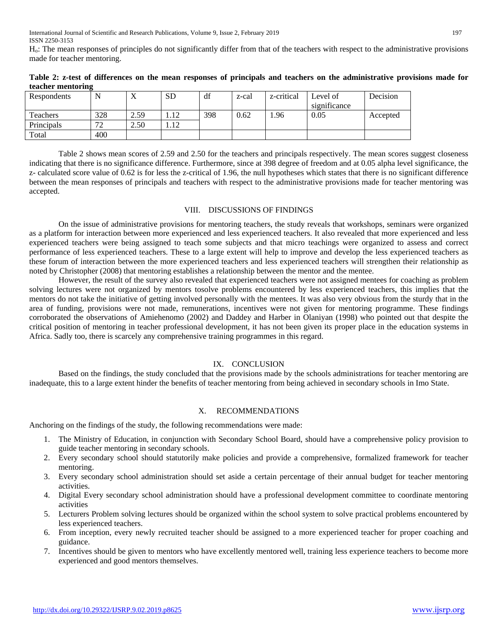Ho: The mean responses of principles do not significantly differ from that of the teachers with respect to the administrative provisions made for teacher mentoring.

| Respondents | N       | $\Lambda$ | <b>SD</b> | df  | z-cal | z-critical | Level of<br>significance | Decision |
|-------------|---------|-----------|-----------|-----|-------|------------|--------------------------|----------|
| Teachers    | 328     | 2.59      | 1.12      | 398 | 0.62  | .96        | 0.05                     | Accepted |
| Principals  | 72<br>∠ | 2.50      | 1.12      |     |       |            |                          |          |
| Total       | 400     |           |           |     |       |            |                          |          |

**Table 2: z-test of differences on the mean responses of principals and teachers on the administrative provisions made for teacher mentoring**

Table 2 shows mean scores of 2.59 and 2.50 for the teachers and principals respectively. The mean scores suggest closeness indicating that there is no significance difference. Furthermore, since at 398 degree of freedom and at 0.05 alpha level significance, the z- calculated score value of 0.62 is for less the z-critical of 1.96, the null hypotheses which states that there is no significant difference between the mean responses of principals and teachers with respect to the administrative provisions made for teacher mentoring was accepted.

### VIII. DISCUSSIONS OF FINDINGS

On the issue of administrative provisions for mentoring teachers, the study reveals that workshops, seminars were organized as a platform for interaction between more experienced and less experienced teachers. It also revealed that more experienced and less experienced teachers were being assigned to teach some subjects and that micro teachings were organized to assess and correct performance of less experienced teachers. These to a large extent will help to improve and develop the less experienced teachers as these forum of interaction between the more experienced teachers and less experienced teachers will strengthen their relationship as noted by Christopher (2008) that mentoring establishes a relationship between the mentor and the mentee.

However, the result of the survey also revealed that experienced teachers were not assigned mentees for coaching as problem solving lectures were not organized by mentors tosolve problems encountered by less experienced teachers, this implies that the mentors do not take the initiative of getting involved personally with the mentees. It was also very obvious from the sturdy that in the area of funding, provisions were not made, remunerations, incentives were not given for mentoring programme. These findings corroborated the observations of Amiehenomo (2002) and Daddey and Harber in Olaniyan (1998) who pointed out that despite the critical position of mentoring in teacher professional development, it has not been given its proper place in the education systems in Africa. Sadly too, there is scarcely any comprehensive training programmes in this regard.

#### IX. CONCLUSION

Based on the findings, the study concluded that the provisions made by the schools administrations for teacher mentoring are inadequate, this to a large extent hinder the benefits of teacher mentoring from being achieved in secondary schools in Imo State.

#### X. RECOMMENDATIONS

Anchoring on the findings of the study, the following recommendations were made:

- 1. The Ministry of Education, in conjunction with Secondary School Board, should have a comprehensive policy provision to guide teacher mentoring in secondary schools.
- 2. Every secondary school should statutorily make policies and provide a comprehensive, formalized framework for teacher mentoring.
- 3. Every secondary school administration should set aside a certain percentage of their annual budget for teacher mentoring activities.
- 4. Digital Every secondary school administration should have a professional development committee to coordinate mentoring activities
- 5. Lecturers Problem solving lectures should be organized within the school system to solve practical problems encountered by less experienced teachers.
- 6. From inception, every newly recruited teacher should be assigned to a more experienced teacher for proper coaching and guidance.
- 7. Incentives should be given to mentors who have excellently mentored well, training less experience teachers to become more experienced and good mentors themselves.